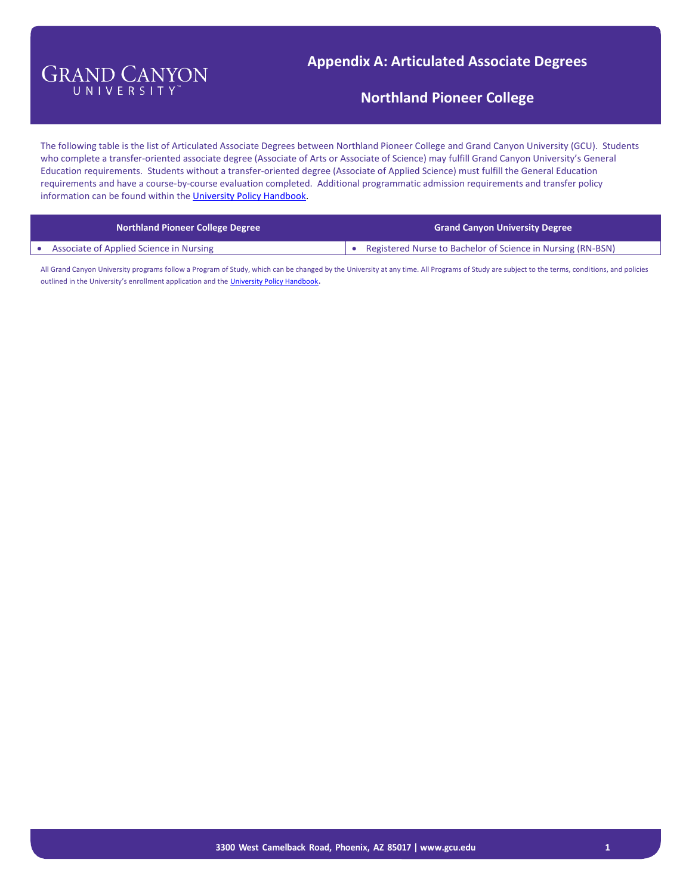## **Appendix A: Articulated Associate Degrees**

#### **Northland Pioneer College**

The following table is the list of Articulated Associate Degrees between Northland Pioneer College and Grand Canyon University (GCU). Students who complete a transfer-oriented associate degree (Associate of Arts or Associate of Science) may fulfill Grand Canyon University's General Education requirements. Students without a transfer-oriented degree (Associate of Applied Science) must fulfill the General Education requirements and have a course-by-course evaluation completed. Additional programmatic admission requirements and transfer policy information can be found within th[e University Policy Handbook.](http://www.gcu.edu/Admissions/Admissions/Policy-Handbook.php)

| <b>Northland Pioneer College Degree</b>        | <b>Grand Canyon University Degree</b>                       |
|------------------------------------------------|-------------------------------------------------------------|
| <b>Associate of Applied Science in Nursing</b> | Registered Nurse to Bachelor of Science in Nursing (RN-BSN) |

All Grand Canyon University programs follow a Program of Study, which can be changed by the University at any time. All Programs of Study are subject to the terms, conditions, and policies outlined in the University's enrollment application and the [University Policy Handbook](http://www.gcu.edu/Admissions/Admissions/Policy-Handbook.php).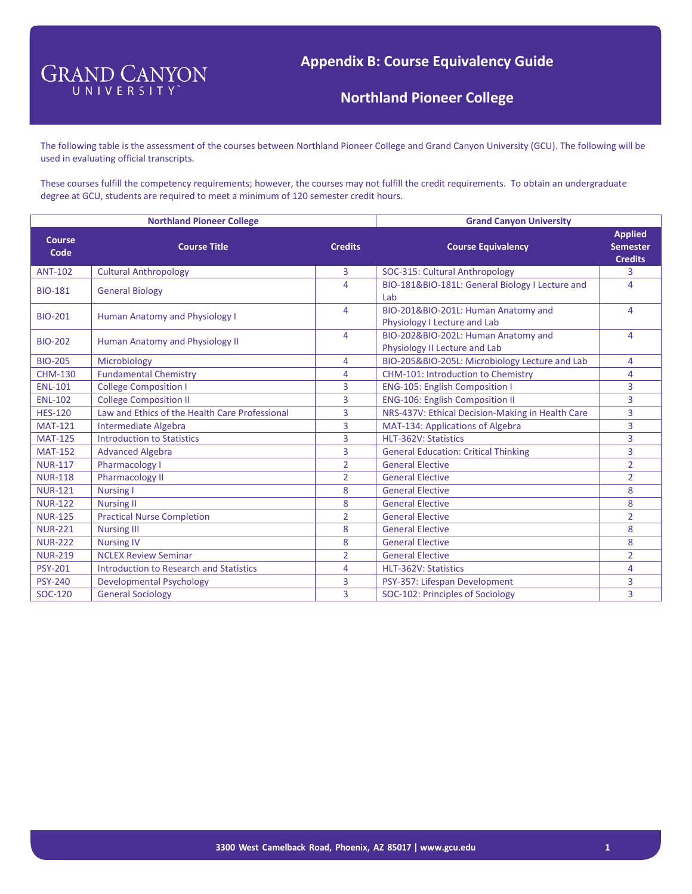**Northland Pioneer College**

The following table is the assessment of the courses between Northland Pioneer College and Grand Canyon University (GCU). The following will be used in evaluating official transcripts.

These courses fulfill the competency requirements; however, the courses may not fulfill the credit requirements. To obtain an undergraduate degree at GCU, students are required to meet a minimum of 120 semester credit hours.

|                       | <b>Northland Pioneer College</b>               | <b>Grand Canyon University</b> |                                                                      |                                                     |
|-----------------------|------------------------------------------------|--------------------------------|----------------------------------------------------------------------|-----------------------------------------------------|
| <b>Course</b><br>Code | <b>Course Title</b>                            | <b>Credits</b>                 | <b>Course Equivalency</b>                                            | <b>Applied</b><br><b>Semester</b><br><b>Credits</b> |
| <b>ANT-102</b>        | <b>Cultural Anthropology</b>                   | 3                              | SOC-315: Cultural Anthropology                                       | 3                                                   |
| <b>BIO-181</b>        | <b>General Biology</b>                         | 4                              | BIO-181&BIO-181L: General Biology I Lecture and<br>Lab               | 4                                                   |
| <b>BIO-201</b>        | <b>Human Anatomy and Physiology I</b>          | 4                              | BIO-201&BIO-201L: Human Anatomy and<br>Physiology I Lecture and Lab  | 4                                                   |
| <b>BIO-202</b>        | <b>Human Anatomy and Physiology II</b>         | 4                              | BIO-202&BIO-202L: Human Anatomy and<br>Physiology II Lecture and Lab | 4                                                   |
| <b>BIO-205</b>        | Microbiology                                   | 4                              | BIO-205&BIO-205L: Microbiology Lecture and Lab                       | 4                                                   |
| <b>CHM-130</b>        | <b>Fundamental Chemistry</b>                   | 4                              | CHM-101: Introduction to Chemistry                                   | 4                                                   |
| <b>ENL-101</b>        | <b>College Composition I</b>                   | 3                              | <b>ENG-105: English Composition I</b>                                | 3                                                   |
| <b>ENL-102</b>        | <b>College Composition II</b>                  | 3                              | <b>ENG-106: English Composition II</b>                               | $\overline{3}$                                      |
| <b>HES-120</b>        | Law and Ethics of the Health Care Professional | 3                              | NRS-437V: Ethical Decision-Making in Health Care                     | $\overline{3}$                                      |
| <b>MAT-121</b>        | Intermediate Algebra                           | 3                              | MAT-134: Applications of Algebra                                     | 3                                                   |
| <b>MAT-125</b>        | <b>Introduction to Statistics</b>              | 3                              | HLT-362V: Statistics                                                 | $\overline{3}$                                      |
| <b>MAT-152</b>        | <b>Advanced Algebra</b>                        | 3                              | <b>General Education: Critical Thinking</b>                          | $\overline{3}$                                      |
| <b>NUR-117</b>        | Pharmacology I                                 | $\overline{2}$                 | <b>General Elective</b>                                              | $\overline{2}$                                      |
| <b>NUR-118</b>        | <b>Pharmacology II</b>                         | $\overline{2}$                 | <b>General Elective</b>                                              | $\overline{2}$                                      |
| <b>NUR-121</b>        | <b>Nursing I</b>                               | 8                              | <b>General Elective</b>                                              | 8                                                   |
| <b>NUR-122</b>        | <b>Nursing II</b>                              | 8                              | <b>General Elective</b>                                              | 8                                                   |
| <b>NUR-125</b>        | <b>Practical Nurse Completion</b>              | $\overline{2}$                 | <b>General Elective</b>                                              | $\overline{2}$                                      |
| <b>NUR-221</b>        | <b>Nursing III</b>                             | 8                              | <b>General Elective</b>                                              | 8                                                   |
| <b>NUR-222</b>        | <b>Nursing IV</b>                              | 8                              | <b>General Elective</b>                                              | 8                                                   |
| <b>NUR-219</b>        | <b>NCLEX Review Seminar</b>                    | $\overline{2}$                 | <b>General Elective</b>                                              | $\overline{2}$                                      |
| <b>PSY-201</b>        | Introduction to Research and Statistics        | 4                              | HLT-362V: Statistics                                                 | 4                                                   |
| <b>PSY-240</b>        | <b>Developmental Psychology</b>                | 3                              | PSY-357: Lifespan Development                                        | 3                                                   |
| SOC-120               | <b>General Sociology</b>                       | 3                              | SOC-102: Principles of Sociology                                     | $\overline{3}$                                      |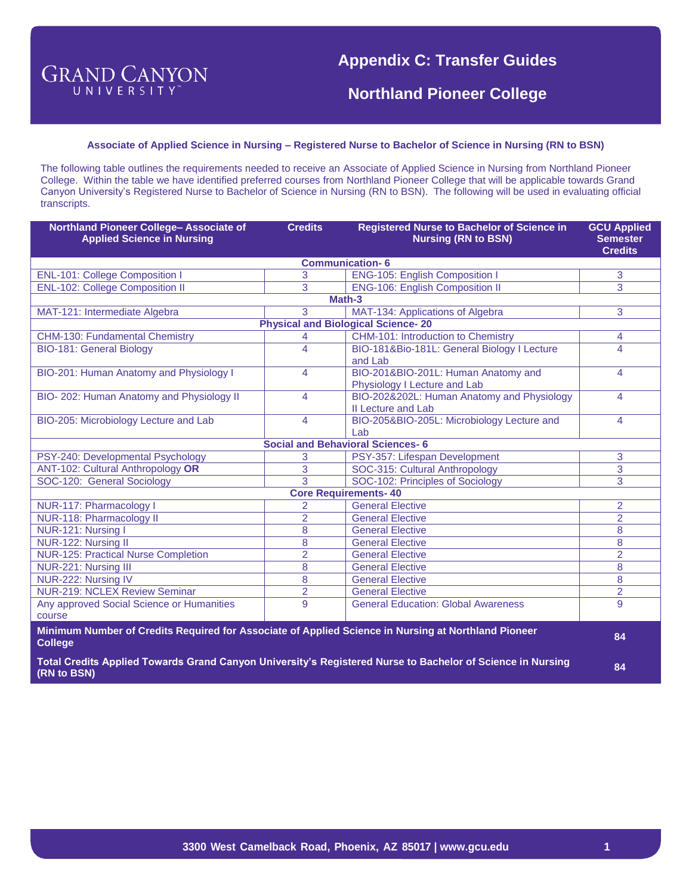**Northland Pioneer College**

#### **Associate of Applied Science in Nursing – Registered Nurse to Bachelor of Science in Nursing (RN to BSN)**

The following table outlines the requirements needed to receive an Associate of Applied Science in Nursing from Northland Pioneer College. Within the table we have identified preferred courses from Northland Pioneer College that will be applicable towards Grand Canyon University's Registered Nurse to Bachelor of Science in Nursing (RN to BSN). The following will be used in evaluating official transcripts.

| Northland Pioneer College- Associate of<br><b>Applied Science in Nursing</b>                                          | <b>Credits</b>           | <b>Registered Nurse to Bachelor of Science in</b><br><b>Nursing (RN to BSN)</b>                            | <b>GCU Applied</b><br><b>Semester</b><br><b>Credits</b> |
|-----------------------------------------------------------------------------------------------------------------------|--------------------------|------------------------------------------------------------------------------------------------------------|---------------------------------------------------------|
|                                                                                                                       |                          | <b>Communication-6</b>                                                                                     |                                                         |
| <b>ENL-101: College Composition I</b>                                                                                 | 3                        | <b>ENG-105: English Composition I</b>                                                                      | 3                                                       |
| <b>ENL-102: College Composition II</b>                                                                                | 3                        | <b>ENG-106: English Composition II</b>                                                                     | 3                                                       |
|                                                                                                                       |                          | Math-3                                                                                                     |                                                         |
| MAT-121: Intermediate Algebra                                                                                         | 3                        | MAT-134: Applications of Algebra                                                                           | 3                                                       |
|                                                                                                                       |                          | <b>Physical and Biological Science-20</b>                                                                  |                                                         |
| CHM-130: Fundamental Chemistry                                                                                        | 4                        | CHM-101: Introduction to Chemistry                                                                         | 4                                                       |
| <b>BIO-181: General Biology</b>                                                                                       | $\overline{\mathbf{A}}$  | BIO-181&Bio-181L: General Biology I Lecture<br>and Lab                                                     | 4                                                       |
| BIO-201: Human Anatomy and Physiology I                                                                               | $\overline{\mathbf{4}}$  | BIO-201&BIO-201L: Human Anatomy and<br>Physiology I Lecture and Lab                                        | 4                                                       |
| BIO-202: Human Anatomy and Physiology II                                                                              | 4                        | BIO-202&202L: Human Anatomy and Physiology<br>II Lecture and Lab                                           | 4                                                       |
| BIO-205: Microbiology Lecture and Lab                                                                                 | $\overline{\mathcal{A}}$ | BIO-205&BIO-205L: Microbiology Lecture and<br>Lab                                                          | 4                                                       |
|                                                                                                                       |                          | <b>Social and Behavioral Sciences-6</b>                                                                    |                                                         |
| PSY-240: Developmental Psychology                                                                                     | 3                        | PSY-357: Lifespan Development                                                                              | 3                                                       |
| <b>ANT-102: Cultural Anthropology OR</b>                                                                              | $\overline{3}$           | SOC-315: Cultural Anthropology                                                                             | $\overline{3}$                                          |
| SOC-120: General Sociology                                                                                            | 3                        | SOC-102: Principles of Sociology                                                                           | 3                                                       |
|                                                                                                                       |                          | <b>Core Requirements-40</b>                                                                                |                                                         |
| NUR-117: Pharmacology I                                                                                               | $\overline{2}$           | <b>General Elective</b>                                                                                    | $\overline{2}$                                          |
| NUR-118: Pharmacology II                                                                                              | $\overline{2}$           | <b>General Elective</b>                                                                                    | 2                                                       |
| NUR-121: Nursing I                                                                                                    | 8                        | <b>General Elective</b>                                                                                    | 8                                                       |
| NUR-122: Nursing II                                                                                                   | 8                        | <b>General Elective</b>                                                                                    | 8                                                       |
| <b>NUR-125: Practical Nurse Completion</b>                                                                            | $\overline{2}$           | <b>General Elective</b>                                                                                    | $\overline{2}$                                          |
| NUR-221: Nursing III                                                                                                  | 8                        | <b>General Elective</b>                                                                                    | 8                                                       |
| NUR-222: Nursing IV                                                                                                   | 8                        | <b>General Elective</b>                                                                                    | 8                                                       |
| <b>NUR-219: NCLEX Review Seminar</b>                                                                                  | $\overline{2}$           | <b>General Elective</b>                                                                                    | $\overline{2}$                                          |
| Any approved Social Science or Humanities<br>course                                                                   | 9                        | <b>General Education: Global Awareness</b>                                                                 | 9                                                       |
| Minimum Number of Credits Required for Associate of Applied Science in Nursing at Northland Pioneer<br><b>College</b> |                          |                                                                                                            | 84                                                      |
| (RN to BSN)                                                                                                           |                          | Total Credits Applied Towards Grand Canyon University's Registered Nurse to Bachelor of Science in Nursing | 84                                                      |